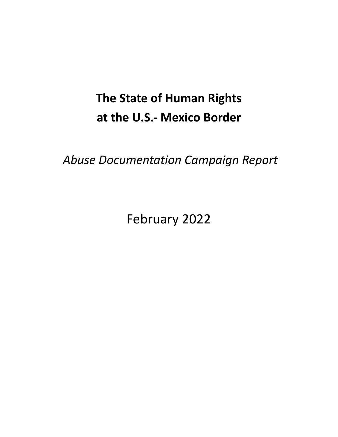# **The State of Human Rights at the U.S.- Mexico Border**

*Abuse Documentation Campaign Report*

February 2022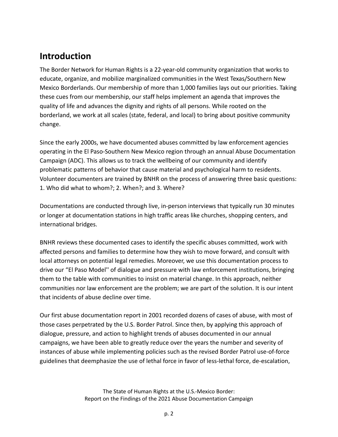# **Introduction**

The Border Network for Human Rights is a 22-year-old community organization that works to educate, organize, and mobilize marginalized communities in the West Texas/Southern New Mexico Borderlands. Our membership of more than 1,000 families lays out our priorities. Taking these cues from our membership, our staff helps implement an agenda that improves the quality of life and advances the dignity and rights of all persons. While rooted on the borderland, we work at all scales (state, federal, and local) to bring about positive community change.

Since the early 2000s, we have documented abuses committed by law enforcement agencies operating in the El Paso-Southern New Mexico region through an annual Abuse Documentation Campaign (ADC). This allows us to track the wellbeing of our community and identify problematic patterns of behavior that cause material and psychological harm to residents. Volunteer documenters are trained by BNHR on the process of answering three basic questions: 1. Who did what to whom?; 2. When?; and 3. Where?

Documentations are conducted through live, in-person interviews that typically run 30 minutes or longer at documentation stations in high traffic areas like churches, shopping centers, and international bridges.

BNHR reviews these documented cases to identify the specific abuses committed, work with affected persons and families to determine how they wish to move forward, and consult with local attorneys on potential legal remedies. Moreover, we use this documentation process to drive our "El Paso Model'' of dialogue and pressure with law enforcement institutions, bringing them to the table with communities to insist on material change. In this approach, neither communities nor law enforcement are the problem; we are part of the solution. It is our intent that incidents of abuse decline over time.

Our first abuse documentation report in 2001 recorded dozens of cases of abuse, with most of those cases perpetrated by the U.S. Border Patrol. Since then, by applying this approach of dialogue, pressure, and action to highlight trends of abuses documented in our annual campaigns, we have been able to greatly reduce over the years the number and severity of instances of abuse while implementing policies such as the revised Border Patrol use-of-force guidelines that deemphasize the use of lethal force in favor of less-lethal force, de-escalation,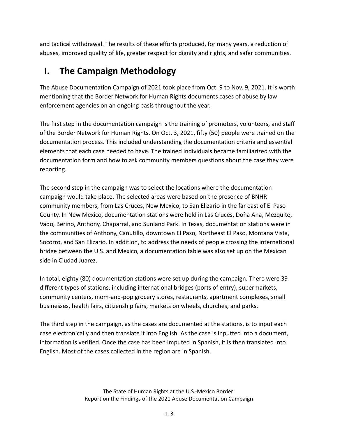and tactical withdrawal. The results of these efforts produced, for many years, a reduction of abuses, improved quality of life, greater respect for dignity and rights, and safer communities.

# **I. The Campaign Methodology**

The Abuse Documentation Campaign of 2021 took place from Oct. 9 to Nov. 9, 2021. It is worth mentioning that the Border Network for Human Rights documents cases of abuse by law enforcement agencies on an ongoing basis throughout the year.

The first step in the documentation campaign is the training of promoters, volunteers, and staff of the Border Network for Human Rights. On Oct. 3, 2021, fifty (50) people were trained on the documentation process. This included understanding the documentation criteria and essential elements that each case needed to have. The trained individuals became familiarized with the documentation form and how to ask community members questions about the case they were reporting.

The second step in the campaign was to select the locations where the documentation campaign would take place. The selected areas were based on the presence of BNHR community members, from Las Cruces, New Mexico, to San Elizario in the far east of El Paso County. In New Mexico, documentation stations were held in Las Cruces, Doña Ana, Mezquite, Vado, Berino, Anthony, Chaparral, and Sunland Park. In Texas, documentation stations were in the communities of Anthony, Canutillo, downtown El Paso, Northeast El Paso, Montana Vista, Socorro, and San Elizario. In addition, to address the needs of people crossing the international bridge between the U.S. and Mexico, a documentation table was also set up on the Mexican side in Ciudad Juarez.

In total, eighty (80) documentation stations were set up during the campaign. There were 39 different types of stations, including international bridges (ports of entry), supermarkets, community centers, mom-and-pop grocery stores, restaurants, apartment complexes, small businesses, health fairs, citizenship fairs, markets on wheels, churches, and parks.

The third step in the campaign, as the cases are documented at the stations, is to input each case electronically and then translate it into English. As the case is inputted into a document, information is verified. Once the case has been imputed in Spanish, it is then translated into English. Most of the cases collected in the region are in Spanish.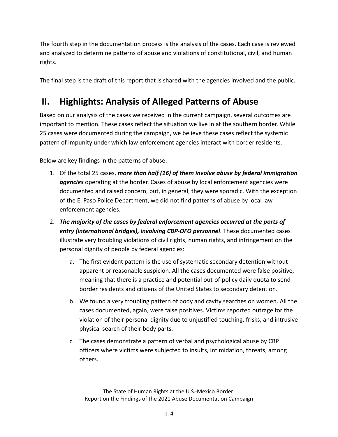The fourth step in the documentation process is the analysis of the cases. Each case is reviewed and analyzed to determine patterns of abuse and violations of constitutional, civil, and human rights.

The final step is the draft of this report that is shared with the agencies involved and the public.

# **II. Highlights: Analysis of Alleged Patterns of Abuse**

Based on our analysis of the cases we received in the current campaign, several outcomes are important to mention. These cases reflect the situation we live in at the southern border. While 25 cases were documented during the campaign, we believe these cases reflect the systemic pattern of impunity under which law enforcement agencies interact with border residents.

Below are key findings in the patterns of abuse:

- 1. Of the total 25 cases, *more than half (16) of them involve abuse by federal immigration agencies* operating at the border. Cases of abuse by local enforcement agencies were documented and raised concern, but, in general, they were sporadic. With the exception of the El Paso Police Department, we did not find patterns of abuse by local law enforcement agencies.
- 2. *The majority of the cases by federal enforcement agencies occurred at the ports of entry (international bridges), involving CBP-OFO personnel*. These documented cases illustrate very troubling violations of civil rights, human rights, and infringement on the personal dignity of people by federal agencies:
	- a. The first evident pattern is the use of systematic secondary detention without apparent or reasonable suspicion. All the cases documented were false positive, meaning that there is a practice and potential out-of-policy daily quota to send border residents and citizens of the United States to secondary detention.
	- b. We found a very troubling pattern of body and cavity searches on women. All the cases documented, again, were false positives. Victims reported outrage for the violation of their personal dignity due to unjustified touching, frisks, and intrusive physical search of their body parts.
	- c. The cases demonstrate a pattern of verbal and psychological abuse by CBP officers where victims were subjected to insults, intimidation, threats, among others.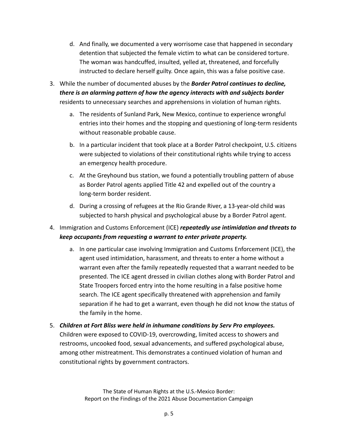- d. And finally, we documented a very worrisome case that happened in secondary detention that subjected the female victim to what can be considered torture. The woman was handcuffed, insulted, yelled at, threatened, and forcefully instructed to declare herself guilty. Once again, this was a false positive case.
- 3. While the number of documented abuses by the *Border Patrol continues to decline, there is an alarming pattern of how the agency interacts with and subjects border* residents to unnecessary searches and apprehensions in violation of human rights.
	- a. The residents of Sunland Park, New Mexico, continue to experience wrongful entries into their homes and the stopping and questioning of long-term residents without reasonable probable cause.
	- b. In a particular incident that took place at a Border Patrol checkpoint, U.S. citizens were subjected to violations of their constitutional rights while trying to access an emergency health procedure.
	- c. At the Greyhound bus station, we found a potentially troubling pattern of abuse as Border Patrol agents applied Title 42 and expelled out of the country a long-term border resident.
	- d. During a crossing of refugees at the Rio Grande River, a 13-year-old child was subjected to harsh physical and psychological abuse by a Border Patrol agent.
- 4. Immigration and Customs Enforcement (ICE) *repeatedly use intimidation and threats to keep occupants from requesting a warrant to enter private property.*
	- a. In one particular case involving Immigration and Customs Enforcement (ICE), the agent used intimidation, harassment, and threats to enter a home without a warrant even after the family repeatedly requested that a warrant needed to be presented. The ICE agent dressed in civilian clothes along with Border Patrol and State Troopers forced entry into the home resulting in a false positive home search. The ICE agent specifically threatened with apprehension and family separation if he had to get a warrant, even though he did not know the status of the family in the home.
- 5. *Children at Fort Bliss were held in inhumane conditions by Serv Pro employees.* Children were exposed to COVID-19, overcrowding, limited access to showers and restrooms, uncooked food, sexual advancements, and suffered psychological abuse, among other mistreatment. This demonstrates a continued violation of human and constitutional rights by government contractors.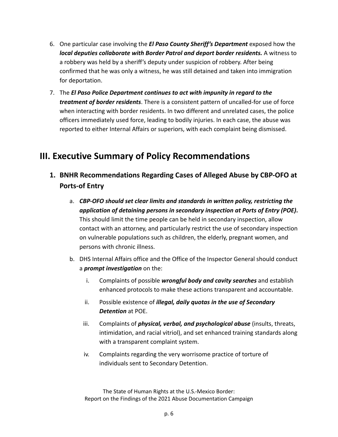- 6. One particular case involving the *El Paso County Sheriff's Department* exposed how the *local deputies collaborate with Border Patrol and deport border residents.* A witness to a robbery was held by a sheriff's deputy under suspicion of robbery. After being confirmed that he was only a witness, he was still detained and taken into immigration for deportation.
- 7. The *El Paso Police Department continues to act with impunity in regard to the treatment of border residents*. There is a consistent pattern of uncalled-for use of force when interacting with border residents. In two different and unrelated cases, the police officers immediately used force, leading to bodily injuries. In each case, the abuse was reported to either Internal Affairs or superiors, with each complaint being dismissed.

# **III. Executive Summary of Policy Recommendations**

- **1. BNHR Recommendations Regarding Cases of Alleged Abuse by CBP-OFO at Ports-of Entry**
	- a. *CBP-OFO should set clear limits and standards in written policy, restricting the application of detaining persons in secondary inspection at Ports of Entry (POE)***.** This should limit the time people can be held in secondary inspection, allow contact with an attorney, and particularly restrict the use of secondary inspection on vulnerable populations such as children, the elderly, pregnant women, and persons with chronic illness.
	- b. DHS Internal Affairs office and the Office of the Inspector General should conduct a *prompt investigation* on the:
		- i. Complaints of possible *wrongful body and cavity searches* and establish enhanced protocols to make these actions transparent and accountable.
		- ii. Possible existence of *illegal, daily quotas in the use of Secondary Detention* at POE.
		- iii. Complaints of *physical, verbal, and psychological abuse* (insults, threats, intimidation, and racial vitriol), and set enhanced training standards along with a transparent complaint system.
		- iv. Complaints regarding the very worrisome practice of torture of individuals sent to Secondary Detention.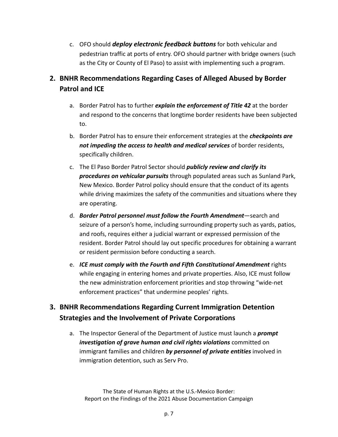c. OFO should *deploy electronic feedback buttons* for both vehicular and pedestrian traffic at ports of entry. OFO should partner with bridge owners (such as the City or County of El Paso) to assist with implementing such a program.

# **2. BNHR Recommendations Regarding Cases of Alleged Abused by Border Patrol and ICE**

- a. Border Patrol has to further *explain the enforcement of Title 42* at the border and respond to the concerns that longtime border residents have been subjected to.
- b. Border Patrol has to ensure their enforcement strategies at the *checkpoints are not impeding the access to health and medical services* of border residents, specifically children.
- c. The El Paso Border Patrol Sector should *publicly review and clarify its procedures on vehicular pursuits* through populated areas such as Sunland Park, New Mexico. Border Patrol policy should ensure that the conduct of its agents while driving maximizes the safety of the communities and situations where they are operating.
- d. *Border Patrol personnel must follow the Fourth Amendment*—search and seizure of a person's home, including surrounding property such as yards, patios, and roofs, requires either a judicial warrant or expressed permission of the resident. Border Patrol should lay out specific procedures for obtaining a warrant or resident permission before conducting a search.
- e. *ICE must comply with the Fourth and Fifth Constitutional Amendment* rights while engaging in entering homes and private properties. Also, ICE must follow the new administration enforcement priorities and stop throwing "wide-net enforcement practices" that undermine peoples' rights.

### **3. BNHR Recommendations Regarding Current Immigration Detention Strategies and the Involvement of Private Corporations**

a. The Inspector General of the Department of Justice must launch a *prompt investigation of grave human and civil rights violations* committed on immigrant families and children *by personnel of private entities* involved in immigration detention, such as Serv Pro.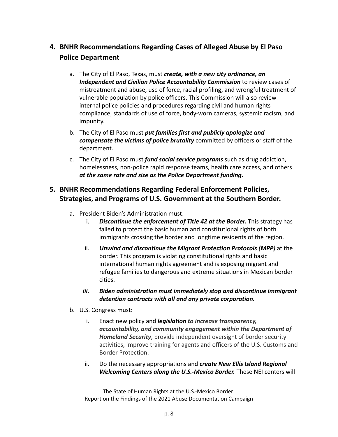# **4. BNHR Recommendations Regarding Cases of Alleged Abuse by El Paso Police Department**

- a. The City of El Paso, Texas, must *create, with a new city ordinance, an Independent and Civilian Police Accountability Commission* to review cases of mistreatment and abuse, use of force, racial profiling, and wrongful treatment of vulnerable population by police officers. This Commission will also review internal police policies and procedures regarding civil and human rights compliance, standards of use of force, body-worn cameras, systemic racism, and impunity.
- b. The City of El Paso must *put families first and publicly apologize and compensate the victims of police brutality* committed by officers or staff of the department.
- c. The City of El Paso must *fund social service programs* such as drug addiction, homelessness, non-police rapid response teams, health care access, and others *at the same rate and size as the Police Department funding.*

### **5. BNHR Recommendations Regarding Federal Enforcement Policies, Strategies, and Programs of U.S. Government at the Southern Border.**

- a. President Biden's Administration must:
	- i. *Discontinue the enforcement of Title 42 at the Border.* This strategy has failed to protect the basic human and constitutional rights of both immigrants crossing the border and longtime residents of the region.
	- ii. *Unwind and discontinue the Migrant Protection Protocols (MPP)* at the border. This program is violating constitutional rights and basic international human rights agreement and is exposing migrant and refugee families to dangerous and extreme situations in Mexican border cities.
	- *iii. Biden administration must immediately stop and discontinue immigrant detention contracts with all and any private corporation.*
- b. U.S. Congress must:
	- i. Enact new policy and *legislation to increase transparency, accountability, and community engagement within the Department of Homeland Security*, provide independent oversight of border security activities, improve training for agents and officers of the U.S. Customs and Border Protection.
	- ii. Do the necessary appropriations and *create New Ellis Island Regional Welcoming Centers along the U.S.-Mexico Border.* These NEI centers will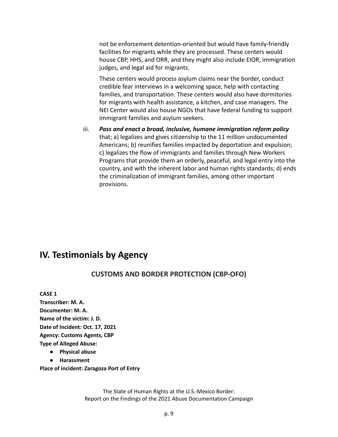not be enforcement detention-oriented but would have family-friendly facilities for migrants while they are processed. These centers would house CBP, HHS, and ORR, and they might also include EIOR, immigration judges, and legal aid for migrants.

These centers would process asylum claims near the border, conduct credible fear interviews in a welcoming space, help with contacting families, and transportation. These centers would also have dormitories for migrants with health assistance, a kitchen, and case managers. The NEI Center would also house NGOs that have federal funding to support immigrant families and asylum seekers.

iii. *Pass and enact a broad, inclusive, humane immigration reform policy* that; a) legalizes and gives citizenship to the 11 million undocumented Americans; b) reunifies families impacted by deportation and expulsion; c) legalizes the flow of immigrants and families through New Workers Programs that provide them an orderly, peaceful, and legal entry into the country, and with the inherent labor and human rights standards; d) ends the criminalization of immigrant families, among other important provisions.

# **IV. Testimonials by Agency**

### **CUSTOMS AND BORDER PROTECTION (CBP-OFO)**

**CASE 1 Transcriber: M. A. Documenter: M. A. Name of the victim: J. D. Date of Incident: Oct. 17, 2021 Agency: Customs Agents, CBP Type of Alleged Abuse: ● Physical abuse**

**● Harassment**

**Place of incident: Zaragoza Port of Entry**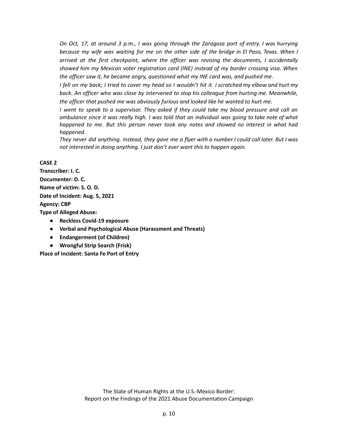On Oct, 17, at around 3 p.m., I was going through the Zaragoza port of entry. I was hurrying because my wife was waiting for me on the other side of the bridge in El Paso, Texas. When I *arrived at the first checkpoint, where the officer was revising the documents, I accidentally showed him my Mexican voter registration card (INE) instead of my border crossing visa. When the officer saw it, he became angry, questioned what my INE card was, and pushed me.*

I fell on my back; I tried to cover my head so I wouldn't hit it. I scratched my elbow and hurt my *back. An officer who was close by intervened to stop his colleague from hurting me. Meanwhile, the officer that pushed me was obviously furious and looked like he wanted to hurt me.*

I went to speak to a supervisor. They asked if they could take my blood pressure and call an ambulance since it was really high. I was told that an individual was going to take note of what *happened to me. But this person never took any notes and showed no interest in what had happened.*

They never did anything. Instead, they gave me a flyer with a number I could call later. But I was *not interested in doing anything. I just don't ever want this to happen again.*

#### **CASE 2**

**Transcriber: I. C. Documenter: D. C. Name of victim: S. O. D. Date of Incident: Aug. 5, 2021 Agency: CBP**

**Type of Alleged Abuse:**

- **● Reckless Covid-19 exposure**
- **● Verbal and Psychological Abuse (Harassment and Threats)**
- **● Endangerment (of Children)**
- **● Wrongful Strip Search (Frisk)**

**Place of incident: Santa Fe Port of Entry**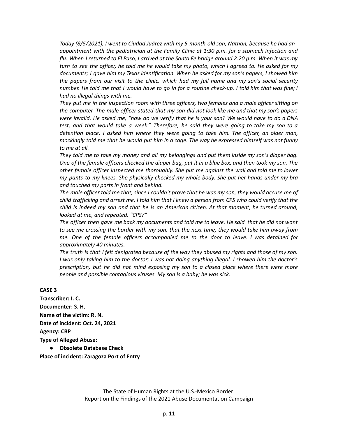*Today (8/5/2021), I went to Ciudad Juárez with my 5-month-old son, Nathan, because he had an appointment with the pediatrician at the Family Clinic at 1:30 p.m. for a stomach infection and* flu. When I returned to El Paso, I arrived at the Santa Fe bridge around 2:20 p.m. When it was my turn to see the officer, he told me he would take my photo, which I agreed to. He asked for my *documents; I gave him my Texas identification. When he asked for my son's papers, I showed him the papers from our visit to the clinic, which had my full name and my son's social security* number. He told me that I would have to go in for a routine check-up. I told him that was fine; I *had no illegal things with me.*

*They put me in the inspection room with three officers, two females and a male officer sitting on* the computer. The male officer stated that my son did not look like me and that my son's papers were invalid. He asked me, "how do we verify that he is your son? We would have to do a DNA *test, and that would take a week." Therefore, he said they were going to take my son to a detention place. I asked him where they were going to take him. The officer, an older man,* mockingly told me that he would put him in a cage. The way he expressed himself was not funny *to me at all.*

They told me to take my money and all my belongings and put them inside my son's diaper bag. One of the female officers checked the diaper bag, put it in a blue box, and then took my son. The *other female officer inspected me thoroughly. She put me against the wall and told me to lower my pants to my knees. She physically checked my whole body. She put her hands under my bra and touched my parts in front and behind.*

The male officer told me that, since I couldn't prove that he was my son, they would accuse me of child trafficking and arrest me. I told him that I knew a person from CPS who could verify that the *child is indeed my son and that he is an American citizen. At that moment, he turned around, looked at me, and repeated, "CPS?"*

The officer then gave me back my documents and told me to leave. He said that he did not want to see me crossing the border with my son, that the next time, they would take him away from *me. One of the female officers accompanied me to the door to leave. I was detained for approximately 40 minutes.*

The truth is that I felt denigrated because of the way they abused my rights and those of my son. I was only taking him to the doctor; I was not doing anything illegal. I showed him the doctor's *prescription, but he did not mind exposing my son to a closed place where there were more people and possible contagious viruses. My son is a baby; he was sick.*

**CASE 3**

**Transcriber: I. C. Documenter: S. H. Name of the victim: R. N. Date of incident: Oct. 24, 2021 Agency: CBP Type of Alleged Abuse: ● Obsolete Database Check**

**Place of incident: Zaragoza Port of Entry**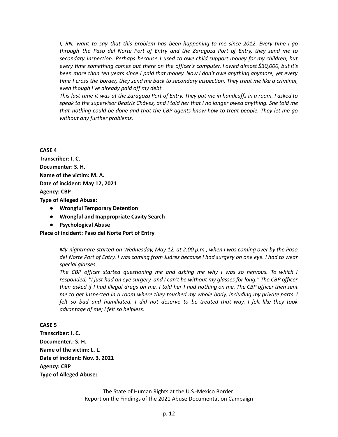*I, RN, want to say that this problem has been happening to me since 2012. Every time I go through the Paso del Norte Port of Entry and the Zaragoza Port of Entry, they send me to secondary inspection. Perhaps because I used to owe child support money for my children, but every time something comes out there on the officer's computer. I owed almost \$30,000, but it's been more than ten years since I paid that money. Now I don't owe anything anymore, yet every time I cross the border, they send me back to secondary inspection. They treat me like a criminal, even though I've already paid off my debt.*

This last time it was at the Zaragoza Port of Entry. They put me in handcuffs in a room. I asked to speak to the supervisor Beatriz Chávez, and I told her that I no longer owed anything. She told me *that nothing could be done and that the CBP agents know how to treat people. They let me go without any further problems.*

**CASE 4**

**Transcriber: I. C. Documenter: S. H. Name of the victim: M. A. Date of incident: May 12, 2021 Agency: CBP**

**Type of Alleged Abuse:**

- **● Wrongful Temporary Detention**
- **● Wrongful and Inappropriate Cavity Search**
- **● Psychological Abuse**

#### **Place of incident: Paso del Norte Port of Entry**

*My nightmare started on Wednesday, May 12, at 2:00 p.m., when I was coming over by the Paso* del Norte Port of Entry. I was coming from Juárez because I had surgery on one eye. I had to wear *special glasses.*

*The CBP officer started questioning me and asking me why I was so nervous. To which I* responded, "I just had an eye surgery, and I can't be without my glasses for long." The CBP officer then asked if I had illegal drugs on me. I told her I had nothing on me. The CBP officer then sent *me to get inspected in a room where they touched my whole body, including my private parts. I felt so bad and humiliated. I did not deserve to be treated that way. I felt like they took advantage of me; I felt so helpless.*

#### **CASE 5**

**Transcriber: I. C. Documenter.: S. H. Name of the victim: L. L. Date of incident: Nov. 3, 2021 Agency: CBP Type of Alleged Abuse:**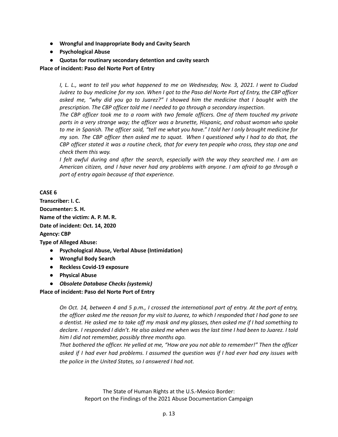- **● Wrongful and Inappropriate Body and Cavity Search**
- **● Psychological Abuse**
- **● Quotas for routinary secondary detention and cavity search**

**Place of incident: Paso del Norte Port of Entry**

I, L. L., want to tell you what happened to me on Wednesday, Nov. 3, 2021. I went to Ciudad Juárez to buy medicine for my son. When I got to the Paso del Norte Port of Entry, the CBP officer *asked me, "why did you go to Juarez?" I showed him the medicine that I bought with the prescription. The CBP officer told me I needed to go through a secondary inspection.*

*The CBP officer took me to a room with two female officers. One of them touched my private parts in a very strange way; the officer was a brunette, Hispanic, and robust woman who spoke* to me in Spanish. The officer said, "tell me what you have." I told her I only brought medicine for my son. The CBP officer then asked me to squat. When I questioned why I had to do that, the CBP officer stated it was a routine check, that for every ten people who cross, they stop one and *check them this way.*

*I felt awful during and after the search, especially with the way they searched me. I am an American citizen, and I have never had any problems with anyone. I am afraid to go through a port of entry again because of that experience.*

#### **CASE 6**

**Transcriber: I. C. Documenter: S. H. Name of the victim: A. P. M. R. Date of incident: Oct. 14, 2020 Agency: CBP Type of Alleged Abuse:**

- **● Psychological Abuse, Verbal Abuse (Intimidation)**
- **● Wrongful Body Search**
- **● Reckless Covid-19 exposure**
- **● Physical Abuse**
- *● Obsolete Database Checks (systemic)*

**Place of incident: Paso del Norte Port of Entry**

On Oct. 14, between 4 and 5 p.m., I crossed the international port of entry. At the port of entry, the officer asked me the reason for my visit to Juarez, to which I responded that I had gone to see a dentist. He asked me to take off my mask and my glasses, then asked me if I had something to declare. I responded I didn't. He also asked me when was the last time I had been to Juarez. I told *him I did not remember, possibly three months ago.*

*That bothered the officer. He yelled at me, "How are you not able to remember!" Then the officer* asked if I had ever had problems. I assumed the question was if I had ever had any issues with *the police in the United States, so I answered I had not.*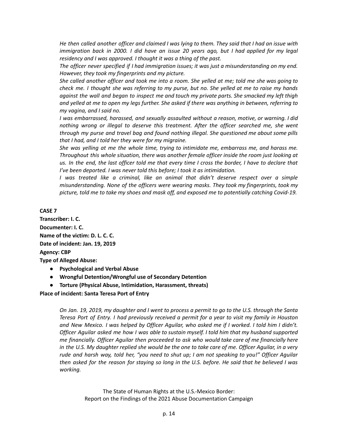He then called another officer and claimed I was lying to them. They said that I had an issue with *immigration back in 2000. I did have an issue 20 years ago, but I had applied for my legal residency and I was approved. I thought it was a thing of the past.*

*The officer never specified if I had immigration issues; it was just a misunderstanding on my end. However, they took my fingerprints and my picture.*

She called another officer and took me into a room. She yelled at me; told me she was going to check me. I thought she was referring to my purse, but no. She yelled at me to raise my hands *against the wall and began to inspect me and touch my private parts. She smacked my left thigh* and yelled at me to open my legs further. She asked if there was anything in between, referring to *my vagina, and I said no.*

*I was embarrassed, harassed, and sexually assaulted without a reason, motive, or warning. I did nothing wrong or illegal to deserve this treatment. After the officer searched me, she went through my purse and travel bag and found nothing illegal. She questioned me about some pills that I had, and I told her they were for my migraine.*

*She was yelling at me the whole time, trying to intimidate me, embarrass me, and harass me. Throughout this whole situation, there was another female officer inside the room just looking at* us. In the end, the last officer told me that every time I cross the border, I have to declare that *I've been deported. I was never told this before; I took it as intimidation.*

*I was treated like a criminal, like an animal that didn't deserve respect over a simple misunderstanding. None of the officers were wearing masks. They took my fingerprints, took my picture, told me to take my shoes and mask off, and exposed me to potentially catching Covid-19.*

**CASE 7**

**Transcriber: I. C. Documenter: I. C. Name of the victim: D. L. C. C. Date of incident: Jan. 19, 2019 Agency: CBP Type of Alleged Abuse:**

- **● Psychological and Verbal Abuse**
- **● Wrongful Detention/Wrongful use of Secondary Detention**
- **● Torture (Physical Abuse, Intimidation, Harassment, threats)**

**Place of incident: Santa Teresa Port of Entry**

On Jan. 19, 2019, my daughter and I went to process a permit to go to the U.S. through the Santa Teresa Port of Entry. I had previously received a permit for a year to visit my family in Houston and New Mexico. I was helped by Officer Aguilar, who asked me if I worked. I told him I didn't. *Officer Aguilar asked me how I was able to sustain myself. I told him that my husband supported me financially. Officer Aguilar then proceeded to ask who would take care of me financially here* in the U.S. My daughter replied she would be the one to take care of me. Officer Aguilar, in a very rude and harsh way, told her, "you need to shut up; I am not speaking to you!" Officer Aguilar then asked for the reason for staying so long in the U.S. before. He said that he believed I was *working.*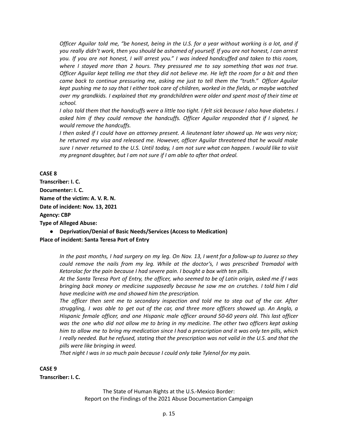Officer Aquilar told me, "be honest, being in the U.S. for a year without working is a lot, and if you really didn't work, then you should be ashamed of yourself. If you are not honest, I can arrest you. If you are not honest, I will arrest you." I was indeed handcuffed and taken to this room, *where I stayed more than 2 hours. They pressured me to say something that was not true.* Officer Aquilar kept telling me that they did not believe me. He left the room for a bit and then *came back to continue pressuring me, asking me just to tell them the "truth." Officer Aguilar* kept pushing me to say that I either took care of children, worked in the fields, or maybe watched *over my grandkids. I explained that my grandchildren were older and spent most of their time at school.*

I also told them that the handcuffs were a little too tight. I felt sick because I also have diabetes. I *asked him if they could remove the handcuffs. Officer Aguilar responded that if I signed, he would remove the handcuffs.*

I then asked if I could have an attorney present. A lieutenant later showed up. He was very nice; *he returned my visa and released me. However, officer Aguilar threatened that he would make* sure I never returned to the U.S. Until today, I am not sure what can happen. I would like to visit *my pregnant daughter, but I am not sure if I am able to after that ordeal.*

#### **CASE 8**

**Transcriber: I. C. Documenter: I. C. Name of the victim: A. V. R. N. Date of incident: Nov. 13, 2021 Agency: CBP Type of Alleged Abuse:**

**● Deprivation/Denial of Basic Needs/Services (Access to Medication) Place of incident: Santa Teresa Port of Entry**

> In the past months, I had surgery on my leg. On Nov. 13, I went for a follow-up to Juarez so they *could remove the nails from my leg. While at the doctor's, I was prescribed Tramadol with Ketorolac for the pain because I had severe pain. I bought a box with ten pills.*

> At the Santa Teresa Port of Entry, the officer, who seemed to be of Latin origin, asked me if I was *bringing back money or medicine supposedly because he saw me on crutches. I told him I did have medicine with me and showed him the prescription.*

> *The officer then sent me to secondary inspection and told me to step out of the car. After* struggling, I was able to get out of the car, and three more officers showed up. An Anglo, a *Hispanic female officer, and one Hispanic male officer around 50-60 years old. This last officer* was the one who did not allow me to bring in my medicine. The other two officers kept asking him to allow me to bring my medication since I had a prescription and it was only ten pills, which I really needed. But he refused, stating that the prescription was not valid in the U.S. and that the *pills were like bringing in weed.*

*That night I was in so much pain because I could only take Tylenol for my pain.*

#### **CASE 9**

**Transcriber: I. C.**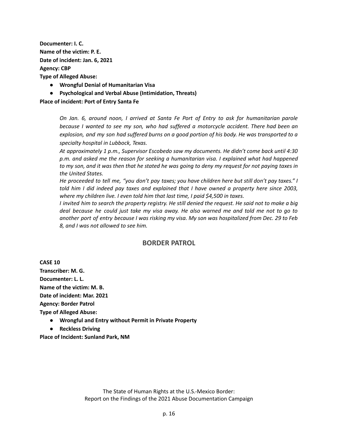**Documenter: I. C. Name of the victim: P. E. Date of incident: Jan. 6, 2021 Agency: CBP**

**Type of Alleged Abuse:**

- **● Wrongful Denial of Humanitarian Visa**
- **● Psychological and Verbal Abuse (Intimidation, Threats)**

#### **Place of incident: Port of Entry Santa Fe**

*On Jan. 6, around noon, I arrived at Santa Fe Port of Entry to ask for humanitarian parole because I wanted to see my son, who had suffered a motorcycle accident. There had been an* explosion, and my son had suffered burns on a good portion of his body. He was transported to a *specialty hospital in Lubbock, Texas.*

*At approximately 1 p.m., Supervisor Escobedo saw my documents. He didn't come back until 4:30 p.m. and asked me the reason for seeking a humanitarian visa. I explained what had happened* to my son, and it was then that he stated he was going to deny my request for not paying taxes in *the United States.*

He proceeded to tell me, "you don't pay taxes; you have children here but still don't pay taxes." I *told him I did indeed pay taxes and explained that I have owned a property here since 2003, where my children live. I even told him that last time, I paid \$4,500 in taxes.*

I invited him to search the property registry. He still denied the request. He said not to make a big deal because he could just take my visa away. He also warned me and told me not to go to another port of entry because I was risking my visa. My son was hospitalized from Dec. 29 to Feb *8, and I was not allowed to see him.*

#### **BORDER PATROL**

**CASE 10 Transcriber: M. G. Documenter: L. L. Name of the victim: M. B. Date of incident: Mar. 2021 Agency: Border Patrol Type of Alleged Abuse:**

- **● Wrongful and Entry without Permit in Private Property**
- **● Reckless Driving**

**Place of Incident: Sunland Park, NM**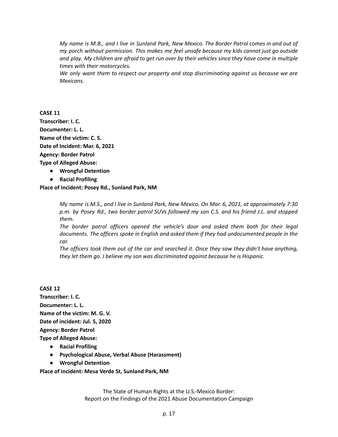My name is M.B., and I live in Sunland Park, New Mexico. The Border Patrol comes in and out of *my porch without permission. This makes me feel unsafe because my kids cannot just go outside* and play. My children are afraid to get run over by their vehicles since they have come in multiple *times with their motorcycles.*

*We only want them to respect our property and stop discriminating against us because we are Mexicans.*

**CASE 11 Transcriber: I. C. Documenter: L. L. Name of the victim: C. S. Date of Incident: Mar. 6, 2021 Agency: Border Patrol Type of Alleged Abuse:**

- **● Wrongful Detention**
- **● Racial Profiling**

**Place of incident: Posey Rd., Sunland Park, NM**

My name is M.S., and I live in Sunland Park, New Mexico. On Mar. 6, 2021, at approximately 7:30 *p.m. by Posey Rd., two border patrol SUVs followed my son C.S. and his friend J.L. and stopped them.*

*The border patrol officers opened the vehicle's door and asked them both for their legal documents. The officers spoke in English and asked them if they had undocumented people in the car.*

*The officers took them out of the car and searched it. Once they saw they didn't have anything, they let them go. I believe my son was discriminated against because he is Hispanic.*

**CASE 12 Transcriber: I. C. Documenter: L. L. Name of the victim: M. G. V. Date of incident: Jul. 5, 2020 Agency: Border Patrol Type of Alleged Abuse:**

- **● Racial Profiling**
- **● Psychological Abuse, Verbal Abuse (Harassment)**
- **● Wrongful Detention**

**Place of incident: Mesa Verde St, Sunland Park, NM**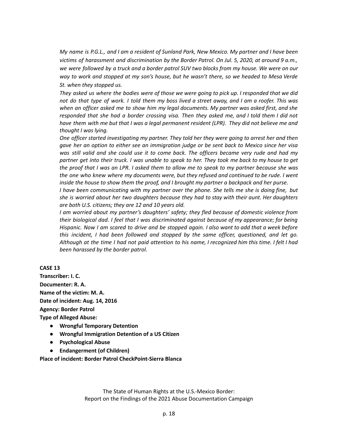My name is P.G.L., and I am a resident of Sunland Park, New Mexico. My partner and I have been *victims of harassment and discrimination by the Border Patrol. On Jul. 5, 2020, at around 9 a.m.,* we were followed by a truck and a border patrol SUV two blocks from my house. We were on our *way to work and stopped at my son's house, but he wasn't there, so we headed to Mesa Verde St. when they stopped us.*

They asked us where the bodies were of those we were going to pick up. I responded that we did not do that type of work. I told them my boss lived a street away, and I am a roofer. This was *when an officer asked me to show him my legal documents. My partner was asked first, and she* responded that she had a border crossing visa. Then they asked me, and I told them I did not have them with me but that I was a legal permanent resident (LPR). They did not believe me and *thought I was lying.*

*One officer started investigating my partner. They told her they were going to arrest her and then* gave her an option to either see an immigration judge or be sent back to Mexico since her visa *was still valid and she could use it to come back. The officers became very rude and had my* partner get into their truck. I was unable to speak to her. They took me back to my house to get the proof that I was an LPR. I asked them to allow me to speak to my partner because she was *the one who knew where my documents were, but they refused and continued to be rude. I went inside the house to show them the proof, and I brought my partner a backpack and her purse.*

*I have been communicating with my partner over the phone. She tells me she is doing fine, but she is worried about her two daughters because they had to stay with their aunt. Her daughters are both U.S. citizens; they are 12 and 10 years old.*

*I am worried about my partner's daughters' safety; they fled because of domestic violence from their biological dad. I feel that I was discriminated against because of my appearance; for being* Hispanic. Now I am scared to drive and be stopped again. I also want to add that a week before *this incident, I had been followed and stopped by the same officer, questioned, and let go.* Although at the time I had not paid attention to his name, I recognized him this time. I felt I had *been harassed by the border patrol.*

**CASE 13**

**Transcriber: I. C. Documenter: R. A. Name of the victim: M. A. Date of incident: Aug. 14, 2016 Agency: Border Patrol Type of Alleged Abuse:**

- **● Wrongful Temporary Detention**
- **● Wrongful Immigration Detention of a US Citizen**
- **● Psychological Abuse**
- **● Endangerment (of Children)**

**Place of incident: Border Patrol CheckPoint-Sierra Blanca**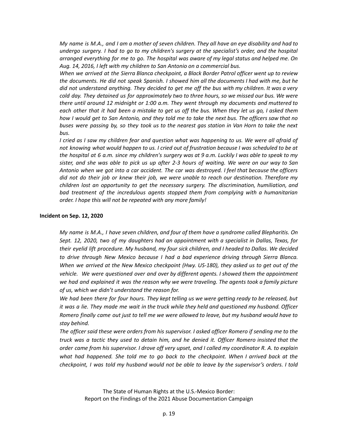My name is M.A., and I am a mother of seven children. They all have an eye disability and had to *undergo surgery. I had to go to my children's surgery at the specialist's order, and the hospital arranged everything for me to go. The hospital was aware of my legal status and helped me. On Aug. 14, 2016, I left with my children to San Antonio on a commercial bus.*

*When we arrived at the Sierra Blanca checkpoint, a Black Border Patrol officer went up to review* the documents. He did not speak Spanish. I showed him all the documents I had with me, but he did not understand anything. They decided to get me off the bus with my children. It was a very *cold day. They detained us for approximately two to three hours, so we missed our bus. We were there until around 12 midnight or 1:00 a.m. They went through my documents and muttered to* each other that it had been a mistake to get us off the bus. When they let us go, I asked them how I would get to San Antonio, and they told me to take the next bus. The officers saw that no buses were passing by, so they took us to the nearest gas station in Van Horn to take the next *bus.*

I cried as I saw my children fear and question what was happening to us. We were all afraid of not knowing what would happen to us. I cried out of frustration because I was scheduled to be at the hospital at 6 a.m. since my children's surgery was at 9 a.m. Luckily I was able to speak to my sister, and she was able to pick us up after 2-3 hours of waiting. We were on our way to San *Antonio when we got into a car accident. The car was destroyed. I feel that because the officers did not do their job or knew their job, we were unable to reach our destination. Therefore my children lost an opportunity to get the necessary surgery. The discrimination, humiliation, and bad treatment of the incredulous agents stopped them from complying with a humanitarian order. I hope this will not be repeated with any more family!*

#### **Incident on Sep. 12, 2020**

*My name is M.A., I have seven children, and four of them have a syndrome called Blepharitis. On Sept. 12, 2020, two of my daughters had an appointment with a specialist in Dallas, Texas, for their eyelid lift procedure. My husband, my four sick children, and I headed to Dallas. We decided to drive through New Mexico because I had a bad experience driving through Sierra Blanca. When we arrived at the New Mexico checkpoint (Hwy. US-180), they asked us to get out of the vehicle. We were questioned over and over by different agents. I showed them the appointment we had and explained it was the reason why we were traveling. The agents took a family picture of us, which we didn't understand the reason for.*

We had been there for four hours. They kept telling us we were getting ready to be released, but it was a lie. They made me wait in the truck while they held and questioned my husband. Officer Romero finally came out just to tell me we were allowed to leave, but my husband would have to *stay behind.*

The officer said these were orders from his supervisor. I asked officer Romero if sending me to the *truck was a tactic they used to detain him, and he denied it. Officer Romero insisted that the* order came from his supervisor. I drove off very upset, and I called my coordinator R. A. to explain *what had happened. She told me to go back to the checkpoint. When I arrived back at the checkpoint, I was told my husband would not be able to leave by the supervisor's orders. I told*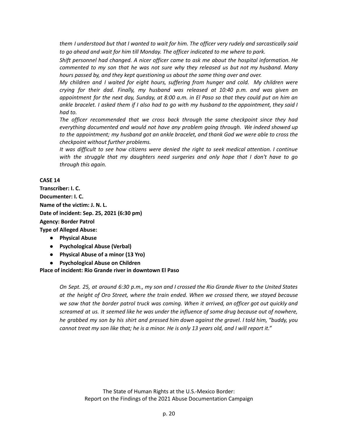them I understood but that I wanted to wait for him. The officer very rudely and sarcastically said *to go ahead and wait for him till Monday. The officer indicated to me where to park.*

*Shift personnel had changed. A nicer officer came to ask me about the hospital information. He commented to my son that he was not sure why they released us but not my husband. Many hours passed by, and they kept questioning us about the same thing over and over.*

*My children and I waited for eight hours, suffering from hunger and cold. My children were crying for their dad. Finally, my husband was released at 10:40 p.m. and was given an* appointment for the next day, Sunday, at 8:00 a.m. in El Paso so that they could put on him an ankle bracelet. I asked them if I also had to go with my husband to the appointment, they said I *had to.*

*The officer recommended that we cross back through the same checkpoint since they had everything documented and would not have any problem going through. We indeed showed up to the appointment; my husband got an ankle bracelet, and thank God we were able to cross the checkpoint without further problems.*

*It was difficult to see how citizens were denied the right to seek medical attention. I continue with the struggle that my daughters need surgeries and only hope that I don't have to go through this again.*

**CASE 14**

**Transcriber: I. C. Documenter: I. C. Name of the victim: J. N. L. Date of incident: Sep. 25, 2021 (6:30 pm) Agency: Border Patrol Type of Alleged Abuse:**

- **● Physical Abuse**
- **● Psychological Abuse (Verbal)**
- **● Physical Abuse of a minor (13 Yro)**
- **● Psychological Abuse on Children**

**Place of incident: Rio Grande river in downtown El Paso**

On Sept. 25, at around 6:30 p.m., my son and I crossed the Rio Grande River to the United States *at the height of Oro Street, where the train ended. When we crossed there, we stayed because we saw that the border patrol truck was coming. When it arrived, an officer got out quickly and screamed at us. It seemed like he was under the influence of some drug because out of nowhere,* he grabbed my son by his shirt and pressed him down against the gravel. I told him, "buddy, you cannot treat my son like that; he is a minor. He is only 13 years old, and I will report it."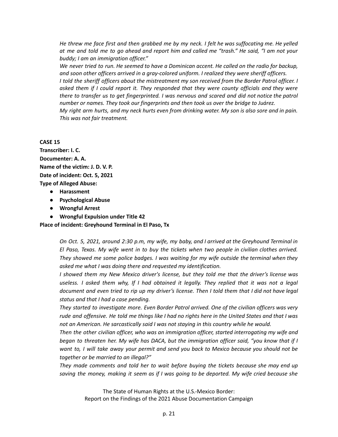He threw me face first and then grabbed me by my neck. I felt he was suffocating me. He yelled at me and told me to go ahead and report him and called me "trash." He said, "I am not your *buddy; I am an immigration officer."*

We never tried to run. He seemed to have a Dominican accent. He called on the radio for backup, *and soon other officers arrived in a gray-colored uniform. I realized they were sheriff officers. I told the sheriff officers about the mistreatment my son received from the Border Patrol officer. I asked them if I could report it. They responded that they were county officials and they were there to transfer us to get fingerprinted. I was nervous and scared and did not notice the patrol number or names. They took our fingerprints and then took us over the bridge to Juárez.* My right arm hurts, and my neck hurts even from drinking water. My son is also sore and in pain. *This was not fair treatment.*

#### **CASE 15**

**Transcriber: I. C. Documenter: A. A. Name of the victim: J. D. V. P. Date of incident: Oct. 5, 2021 Type of Alleged Abuse:**

- **● Harassment**
- **● Psychological Abuse**
- **● Wrongful Arrest**
- **● Wrongful Expulsion under Title 42**

#### **Place of incident: Greyhound Terminal in El Paso, Tx**

On Oct. 5, 2021, around 2:30 p.m, my wife, my baby, and I arrived at the Greyhound Terminal in *El Paso, Texas. My wife went in to buy the tickets when two people in civilian clothes arrived. They showed me some police badges. I was waiting for my wife outside the terminal when they asked me what I was doing there and requested my identification.*

*I showed them my New Mexico driver's license, but they told me that the driver's license was* useless. I asked them why, If I had obtained it legally. They replied that it was not a legal document and even tried to rip up my driver's license. Then I told them that I did not have legal *status and that I had a case pending.*

*They started to investigate more. Even Border Patrol arrived. One of the civilian officers was very* rude and offensive. He told me things like I had no rights here in the United States and that I was *not an American. He sarcastically said I was not staying in this country while he would.*

*Then the other civilian officer, who was an immigration officer, started interrogating my wife and began to threaten her. My wife has DACA, but the immigration officer said, "you know that if I want to, I will take away your permit and send you back to Mexico because you should not be together or be married to an illegal?"*

*They made comments and told her to wait before buying the tickets because she may end up* saving the money, making it seem as if I was going to be deported. My wife cried because she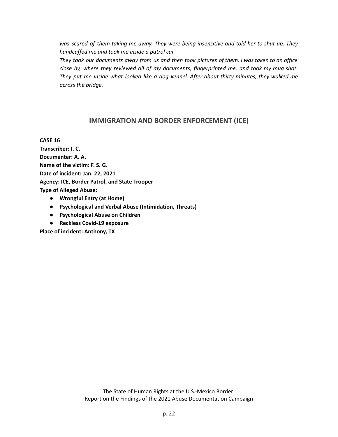*was scared of them taking me away. They were being insensitive and told her to shut up. They handcuffed me and took me inside a patrol car.*

They took our documents away from us and then took pictures of them. I was taken to an office *close by, where they reviewed all of my documents, fingerprinted me, and took my mug shot. They put me inside what looked like a dog kennel. After about thirty minutes, they walked me across the bridge.*

### **IMMIGRATION AND BORDER ENFORCEMENT (ICE)**

**CASE 16**

**Transcriber: I. C. Documenter: A. A. Name of the victim: F. S. G. Date of incident: Jan. 22, 2021 Agency: ICE, Border Patrol, and State Trooper Type of Alleged Abuse:**

- **● Wrongful Entry (at Home)**
- **● Psychological and Verbal Abuse (Intimidation, Threats)**
- **● Psychological Abuse on Children**
- **● Reckless Covid-19 exposure**

**Place of incident: Anthony, TX**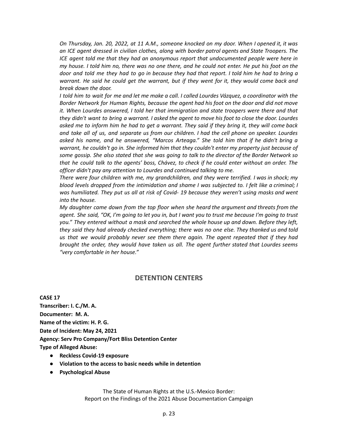On Thursday, Jan. 20, 2022, at 11 A.M., someone knocked on my door. When I opened it, it was *an ICE agent dressed in civilian clothes, along with border patrol agents and State Troopers. The ICE agent told me that they had an anonymous report that undocumented people were here in* my house. I told him no, there was no one there, and he could not enter. He put his foot on the door and told me they had to go in because they had that report. I told him he had to bring a warrant. He said he could get the warrant, but if they went for it, they would come back and *break down the door.*

I told him to wait for me and let me make a call. I called Lourdes Vázquez, a coordinator with the *Border Network for Human Rights, because the agent had his foot on the door and did not move it. When Lourdes answered, I told her that immigration and state troopers were there and that* they didn't want to bring a warrant. I asked the agent to move his foot to close the door. Lourdes asked me to inform him he had to get a warrant. They said if they bring it, they will come back and take all of us, and separate us from our children. I had the cell phone on speaker. Lourdes *asked his name, and he answered, "Marcos Arteaga." She told him that if he didn't bring a warrant, he couldn't go in. She informed him that they couldn't enter my property just because of* some gossip. She also stated that she was going to talk to the director of the Border Network so that he could talk to the agents' boss, Chávez, to check if he could enter without an order. The *officer didn't pay any attention to Lourdes and continued talking to me.*

*There were four children with me, my grandchildren, and they were terrified. I was in shock; my blood levels dropped from the intimidation and shame I was subjected to. I felt like a criminal; I was humiliated. They put us all at risk of Covid- 19 because they weren't using masks and went into the house.*

*My daughter came down from the top floor when she heard the argument and threats from the* agent. She said, "OK, I'm going to let you in, but I want you to trust me because I'm going to trust *you." They entered without a mask and searched the whole house up and down. Before they left, they said they had already checked everything; there was no one else. They thanked us and told us that we would probably never see them there again. The agent repeated that if they had brought the order, they would have taken us all. The agent further stated that Lourdes seems "very comfortable in her house."*

#### **DETENTION CENTERS**

**CASE 17 Transcriber: I. C./M. A. Documenter: M. A. Name of the victim: H. P. G. Date of Incident: May 24, 2021 Agency: Serv Pro Company/Fort Bliss Detention Center Type of Alleged Abuse:**

- **● Reckless Covid-19 exposure**
- **● Violation to the access to basic needs while in detention**
- **● Psychological Abuse**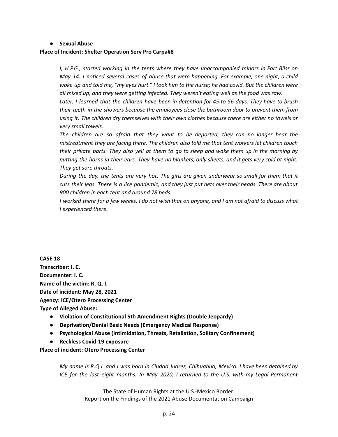#### **● Sexual Abuse**

#### **Place of Incident: Shelter Operation Serv Pro Carpa#8**

*I, H.P.G., started working in the tents where they have unaccompanied minors in Fort Bliss on May 14. I noticed several cases of abuse that were happening. For example, one night, a child* woke up and told me, "my eyes hurt." I took him to the nurse; he had covid. But the children were *all mixed up, and they were getting infected. They weren't eating well as the food was raw.*

Later, I learned that the children have been in detention for 45 to 56 days. They have to brush *their teeth in the showers because the employees close the bathroom door to prevent them from using it. The children dry themselves with their own clothes because there are either no towels or very small towels.*

*The children are so afraid that they want to be deported; they can no longer bear the mistreatment they are facing there. The children also told me that tent workers let children touch* their private parts. They also yell at them to go to sleep and wake them up in the morning by putting the horns in their ears. They have no blankets, only sheets, and it gets very cold at night. *They get sore throats.*

During the day, the tents are very hot. The girls are given underwear so small for them that it cuts their legs. There is a lice pandemic, and they just put nets over their heads. There are about *900 children in each tent and around 78 beds.*

I worked there for a few weeks. I do not wish that on anyone, and I am not afraid to discuss what *I experienced there.*

**CASE 18 Transcriber: I. C. Documenter: I. C. Name of the victim: R. Q. I. Date of incident: May 28, 2021 Agency: ICE/Otero Processing Center Type of Alleged Abuse:**

- **● Violation of Constitutional 5th Amendment Rights (Double Jeopardy)**
- **● Deprivation/Denial Basic Needs (Emergency Medical Response)**
- **● Psychological Abuse (Intimidation, Threats, Retaliation, Solitary Confinement)**
- **● Reckless Covid-19 exposure**

#### **Place of incident: Otero Processing Center**

*My name is R.Q.I. and I was born in Ciudad Juarez, Chihuahua, Mexico. I have been detained by ICE for the last eight months. In May 2020, I returned to the U.S. with my Legal Permanent*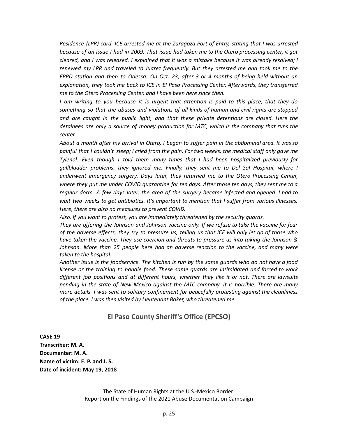*Residence (LPR) card. ICE arrested me at the Zaragoza Port of Entry, stating that I was arrested* because of an issue I had in 2009. That issue had taken me to the Otero processing center, it got *cleared, and I was released. I explained that it was a mistake because it was already resolved; I renewed my LPR and traveled to Juarez frequently. But they arrested me and took me to the EPPD station and then to Odessa. On Oct. 23, after 3 or 4 months of being held without an explanation, they took me back to ICE in El Paso Processing Center. Afterwards, they transferred me to the Otero Processing Center, and I have been here since then.*

*I am writing to you because it is urgent that attention is paid to this place, that they do something so that the abuses and violations of all kinds of human and civil rights are stopped and are caught in the public light, and that these private detentions are closed. Here the detainees are only a source of money production for MTC, which is the company that runs the center.*

About a month after my arrival in Otero, I began to suffer pain in the abdominal area. It was so painful that I couldn't sleep; I cried from the pain. For two weeks, the medical staff only gave me *Tylenol. Even though I told them many times that I had been hospitalized previously for gallbladder problems, they ignored me. Finally, they sent me to Del Sol Hospital, where I underwent emergency surgery. Days later, they returned me to the Otero Processing Center,* where they put me under COVID quarantine for ten days. After those ten days, they sent me to a *regular dorm. A few days later, the area of the surgery became infected and opened. I had to wait two weeks to get antibiotics. It's important to mention that I suffer from various illnesses. Here, there are also no measures to prevent COVID.*

*Also, if you want to protest, you are immediately threatened by the security guards.*

*They are offering the Johnson and Johnson vaccine only. If we refuse to take the vaccine for fear* of the adverse effects, they try to pressure us, telling us that ICE will only let go of those who *have taken the vaccine. They use coercion and threats to pressure us into taking the Johnson & Johnson. More than 25 people here had an adverse reaction to the vaccine, and many were taken to the hospital.*

Another issue is the foodservice. The kitchen is run by the same quards who do not have a food *license or the training to handle food. These same guards are intimidated and forced to work different job positions and at different hours, whether they like it or not. There are lawsuits pending in the state of New Mexico against the MTC company. It is horrible. There are many more details. I was sent to solitary confinement for peacefully protesting against the cleanliness of the place. I was then visited by Lieutenant Baker, who threatened me.*

#### **El Paso County Sheriff's Office (EPCSO)**

**CASE 19 Transcriber: M. A. Documenter: M. A. Name of victim: E. P. and J. S. Date of incident: May 19, 2018**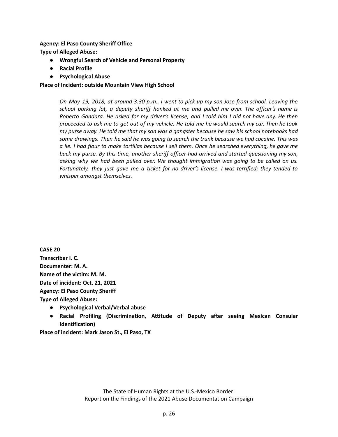**Agency: El Paso County Sheriff Office**

**Type of Alleged Abuse:**

- **● Wrongful Search of Vehicle and Personal Property**
- **● Racial Profile**
- **● Psychological Abuse**

**Place of Incident: outside Mountain View High School**

On May 19, 2018, at around 3:30 p.m., I went to pick up my son Jose from school. Leaving the *school parking lot, a deputy sheriff honked at me and pulled me over. The officer's name is* Roberto Gandara. He asked for my driver's license, and I told him I did not have any. He then proceeded to ask me to get out of my vehicle. He told me he would search my car. Then he took my purse away. He told me that my son was a gangster because he saw his school notebooks had *some drawings. Then he said he was going to search the trunk because we had cocaine. This was* a lie. I had flour to make tortillas because I sell them. Once he searched everything, he gave me *back my purse. By this time, another sheriff officer had arrived and started questioning my son, asking why we had been pulled over. We thought immigration was going to be called on us. Fortunately, they just gave me a ticket for no driver's license. I was terrified; they tended to whisper amongst themselves.*

**CASE 20 Transcriber I. C. Documenter: M. A. Name of the victim: M. M. Date of incident: Oct. 21, 2021 Agency: El Paso County Sheriff Type of Alleged Abuse:**

- **● Psychological Verbal/Verbal abuse**
- **● Racial Profiling (Discrimination, Attitude of Deputy after seeing Mexican Consular Identification)**

**Place of incident: Mark Jason St., El Paso, TX**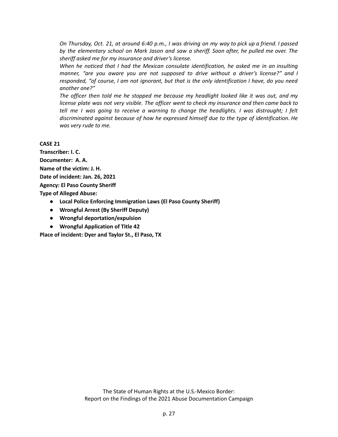On Thursday, Oct. 21, at around 6:40 p.m., I was driving on my way to pick up a friend. I passed *by the elementary school on Mark Jason and saw a sheriff. Soon after, he pulled me over. The sheriff asked me for my insurance and driver's license.*

*When he noticed that I had the Mexican consulate identification, he asked me in an insulting manner, "are you aware you are not supposed to drive without a driver's license?" and I responded, "of course, I am not ignorant, but that is the only identification I have, do you need another one?"*

*The officer then told me he stopped me because my headlight looked like it was out, and my license plate was not very visible. The officer went to check my insurance and then came back to tell me I was going to receive a warning to change the headlights. I was distraught; I felt discriminated against because of how he expressed himself due to the type of identification. He was very rude to me.*

#### **CASE 21**

**Transcriber: I. C. Documenter: A. A. Name of the victim: J. H. Date of incident: Jan. 26, 2021 Agency: El Paso County Sheriff Type of Alleged Abuse: ● Local Police Enforcing Immigration Laws (El Paso County Sheriff)**

- **● Wrongful Arrest (By Sheriff Deputy)**
- **● Wrongful deportation/expulsion**
- **● Wrongful Application of Title 42**

**Place of incident: Dyer and Taylor St., El Paso, TX**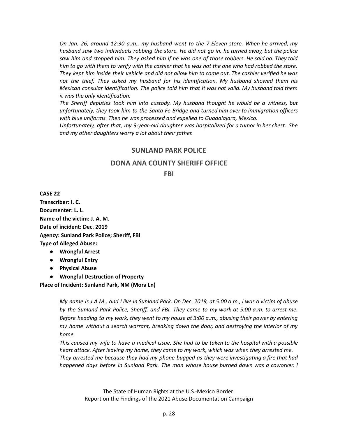*On Jan. 26, around 12:30 a.m., my husband went to the 7-Eleven store. When he arrived, my husband saw two individuals robbing the store. He did not go in, he turned away, but the police* saw him and stopped him. They asked him if he was one of those robbers. He said no. They told him to go with them to verify with the cashier that he was not the one who had robbed the store. They kept him inside their vehicle and did not allow him to come out. The cashier verified he was *not the thief. They asked my husband for his identification. My husband showed them his Mexican consular identification. The police told him that it was not valid. My husband told them it was the only identification.*

*The Sheriff deputies took him into custody. My husband thought he would be a witness, but unfortunately, they took him to the Santa Fe Bridge and turned him over to immigration officers with blue uniforms. Then he was processed and expelled to Guadalajara, Mexico.*

*Unfortunately, after that, my 9-year-old daughter was hospitalized for a tumor in her chest. She and my other daughters worry a lot about their father.*

#### **SUNLAND PARK POLICE**

#### **DONA ANA COUNTY SHERIFF OFFICE**

#### **FBI**

**CASE 22 Transcriber: I. C. Documenter: L. L. Name of the victim: J. A. M. Date of incident: Dec. 2019 Agency: Sunland Park Police; Sheriff, FBI Type of Alleged Abuse:**

- **● Wrongful Arrest**
- **● Wrongful Entry**
- **● Physical Abuse**
- **● Wrongful Destruction of Property**

**Place of Incident: Sunland Park, NM (Mora Ln)**

My name is J.A.M., and I live in Sunland Park. On Dec. 2019, at 5:00 a.m., I was a victim of abuse by the Sunland Park Police, Sheriff, and FBI. They came to my work at 5:00 a.m. to arrest me. *Before heading to my work, they went to my house at 3:00 a.m., abusing their power by entering my home without a search warrant, breaking down the door, and destroying the interior of my home.*

This caused my wife to have a medical issue. She had to be taken to the hospital with a possible *heart attack. After leaving my home, they came to my work, which was when they arrested me. They arrested me because they had my phone bugged as they were investigating a fire that had happened days before in Sunland Park. The man whose house burned down was a coworker. I*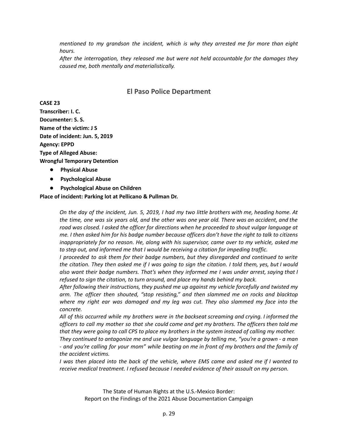*mentioned to my grandson the incident, which is why they arrested me for more than eight hours.*

*After the interrogation, they released me but were not held accountable for the damages they caused me, both mentally and materialistically.*

### **El Paso Police Department**

**CASE 23 Transcriber: I. C. Documenter: S. S. Name of the victim: J S Date of incident: Jun. 5, 2019 Agency: EPPD Type of Alleged Abuse: Wrongful Temporary Detention**

- **● Physical Abuse**
- **● Psychological Abuse**
- **● Psychological Abuse on Children**

**Place of incident: Parking lot at Pellicano & Pullman Dr.**

On the day of the incident, Jun. 5, 2019, I had my two little brothers with me, heading home. At the time, one was six years old, and the other was one year old. There was an accident, and the *road was closed. I asked the officer for directions when he proceeded to shout vulgar language at* me. I then asked him for his badge number because officers don't have the right to talk to citizens *inappropriately for no reason. He, along with his supervisor, came over to my vehicle, asked me to step out, and informed me that I would be receiving a citation for impeding traffic.*

*I proceeded to ask them for their badge numbers, but they disregarded and continued to write* the citation. They then asked me if I was going to sign the citation. I told them, yes, but I would *also want their badge numbers. That's when they informed me I was under arrest, saying that I refused to sign the citation, to turn around, and place my hands behind my back.*

*After following their instructions, they pushed me up against my vehicle forcefully and twisted my arm. The officer then shouted, "stop resisting," and then slammed me on rocks and blacktop where my right ear was damaged and my leg was cut. They also slammed my face into the concrete.*

*All of this occurred while my brothers were in the backseat screaming and crying. I informed the* officers to call my mother so that she could come and get my brothers. The officers then told me that they were going to call CPS to place my brothers in the system instead of calling my mother. *They continued to antagonize me and use vulgar language by telling me, "you're a grown - a man* - and you're calling for your mom" while beating on me in front of my brothers and the family of

*the accident victims.*

I was then placed into the back of the vehicle, where EMS came and asked me if I wanted to *receive medical treatment. I refused because I needed evidence of their assault on my person.*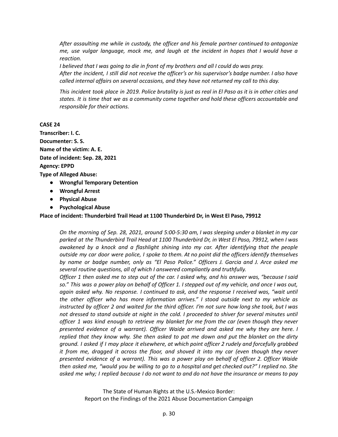*After assaulting me while in custody, the officer and his female partner continued to antagonize me, use vulgar language, mock me, and laugh at the incident in hopes that I would have a reaction.*

I believed that I was going to die in front of my brothers and all I could do was pray.

After the incident, I still did not receive the officer's or his supervisor's badge number. I also have *called internal affairs on several occasions, and they have not returned my call to this day.*

This incident took place in 2019. Police brutality is just as real in El Paso as it is in other cities and *states. It is time that we as a community come together and hold these officers accountable and responsible for their actions.*

#### **CASE 24**

**Transcriber: I. C. Documenter: S. S. Name of the victim: A. E. Date of incident: Sep. 28, 2021 Agency: EPPD Type of Alleged Abuse: ● Wrongful Temporary Detention ● Wrongful Arrest**

- 
- **● Physical Abuse**
- **● Psychological Abuse**

**Place of incident: Thunderbird Trail Head at 1100 Thunderbird Dr, in West El Paso, 79912**

On the morning of Sep. 28, 2021, around 5:00-5:30 am, I was sleeping under a blanket in my car *parked at the Thunderbird Trail Head at 1100 Thunderbird Dr, in West El Paso, 79912, when I was awakened by a knock and a flashlight shining into my car. After identifying that the people outside my car door were police, I spoke to them. At no point did the officers identify themselves by name or badge number, only as "El Paso Police." Officers J. Garcia and J. Arce asked me several routine questions, all of which I answered compliantly and truthfully.*

Officer 1 then asked me to step out of the car. I asked why, and his answer was, "because I said so." This was a power play on behalf of Officer 1. I stepped out of my vehicle, and once I was out, *again asked why. No response. I continued to ask, and the response I received was, "wait until the other officer who has more information arrives." I stood outside next to my vehicle as* instructed by officer 2 and waited for the third officer. I'm not sure how long she took, but I was *not dressed to stand outside at night in the cold. I proceeded to shiver for several minutes until officer 1 was kind enough to retrieve my blanket for me from the car (even though they never presented evidence of a warrant). Officer Waide arrived and asked me why they are here. I replied that they know why. She then asked to pat me down and put the blanket on the dirty* ground. I asked if I may place it elsewhere, at which point officer 2 rudely and forcefully grabbed *it from me, dragged it across the floor, and shoved it into my car (even though they never presented evidence of a warrant). This was a power play on behalf of officer 2. Officer Waide* then asked me, "would you be willing to go to a hospital and get checked out?" I replied no. She asked me why; I replied because I do not want to and do not have the insurance or means to pay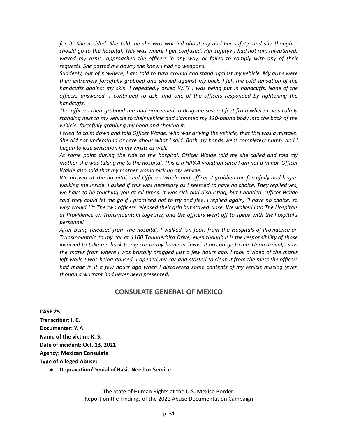*for it. She nodded. She told me she was worried about my and her safety, and she thought I should go to the hospital. This was where I get confused. Her safety? I had not run, threatened, waved my arms, approached the officers in any way, or failed to comply with any of their requests. She patted me down; she knew I had no weapons.*

*Suddenly, out of nowhere, I am told to turn around and stand against my vehicle. My arms were then extremely forcefully grabbed and shoved against my back. I felt the cold sensation of the handcuffs against my skin. I repeatedly asked WHY I was being put in handcuffs. None of the officers answered. I continued to ask, and one of the officers responded by tightening the handcuffs.*

*The officers then grabbed me and proceeded to drag me several feet from where I was calmly standing next to my vehicle to their vehicle and slammed my 120-pound body into the back of the vehicle, forcefully grabbing my head and shoving it.*

I tried to calm down and told Officer Waide, who was driving the vehicle, that this was a mistake. *She did not understand or care about what I said. Both my hands went completely numb, and I began to lose sensation in my wrists as well.*

*At some point during the ride to the hospital, Officer Waide told me she called and told my* mother she was taking me to the hospital. This is a HIPAA violation since I am not a minor. Officer *Waide also said that my mother would pick up my vehicle.*

*We arrived at the hospital, and Officers Waide and officer 2 grabbed me forcefully and began* walking me inside. I asked if this was necessary as I seemed to have no choice. They replied yes, we have to be touching you at all times. It was sick and disgusting, but I nodded. Officer Waide said they could let me go if I promised not to try and flee. I replied again, "I have no choice, so *why would I?" The two officers released their grip but stayed close. We walked into The Hospitals at Providence on Transmountain together, and the officers went off to speak with the hospital's personnel.*

*After being released from the hospital, I walked, on foot, from the Hospitals of Providence on Transmountain to my car at 1100 Thunderbird Drive, even though it is the responsibility of those* involved to take me back to my car or my home in Texas at no charge to me. Upon arrival, I saw the marks from where I was brutally dragged just a few hours ago. I took a video of the marks left while I was being abused. I opened my car and started to clean it from the mess the officers *had made in it a few hours ago when I discovered some contents of my vehicle missing (even though a warrant had never been presented).*

#### **CONSULATE GENERAL OF MEXICO**

**CASE 25 Transcriber: I. C. Documenter: Y. A. Name of the victim: K. S. Date of incident: Oct. 13, 2021 Agency: Mexican Consulate Type of Alleged Abuse:**

**● Depravation/Denial of Basic Need or Service**